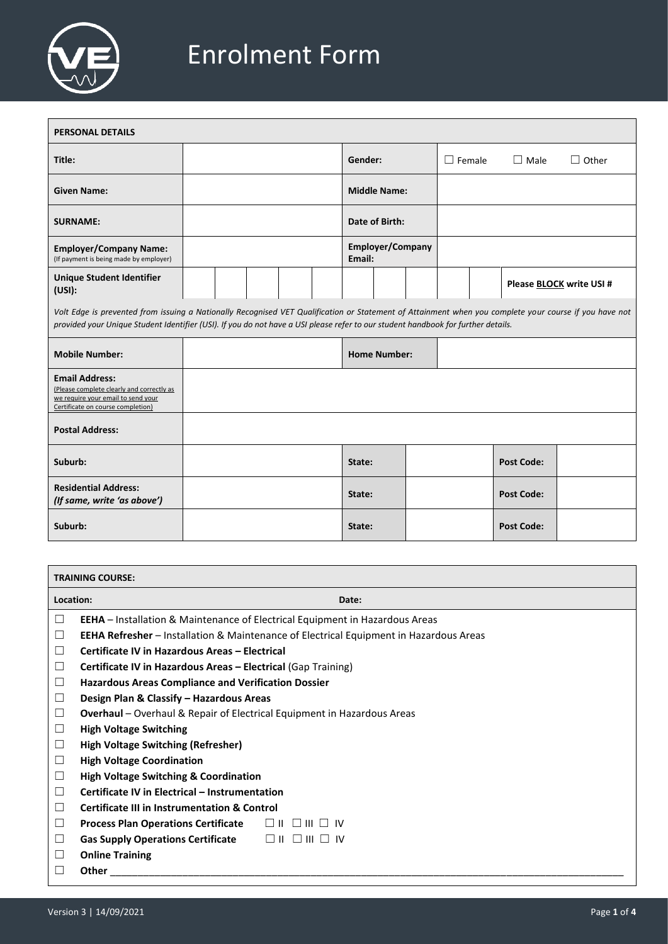

## Enrolment Form

| <b>PERSONAL DETAILS</b>                                                                                                                                                                                                                                                                     |  |  |  |  |                |         |                     |  |               |                   |                                 |
|---------------------------------------------------------------------------------------------------------------------------------------------------------------------------------------------------------------------------------------------------------------------------------------------|--|--|--|--|----------------|---------|---------------------|--|---------------|-------------------|---------------------------------|
| Title:                                                                                                                                                                                                                                                                                      |  |  |  |  |                | Gender: |                     |  | $\Box$ Female | $\Box$ Male       | $\Box$ Other                    |
| <b>Given Name:</b>                                                                                                                                                                                                                                                                          |  |  |  |  |                |         | <b>Middle Name:</b> |  |               |                   |                                 |
| <b>SURNAME:</b>                                                                                                                                                                                                                                                                             |  |  |  |  | Date of Birth: |         |                     |  |               |                   |                                 |
| <b>Employer/Company Name:</b><br>(If payment is being made by employer)                                                                                                                                                                                                                     |  |  |  |  |                | Email:  | Employer/Company    |  |               |                   |                                 |
| <b>Unique Student Identifier</b><br>(USI):                                                                                                                                                                                                                                                  |  |  |  |  |                |         |                     |  |               |                   | Please <b>BLOCK</b> write USI # |
| Volt Edge is prevented from issuing a Nationally Recognised VET Qualification or Statement of Attainment when you complete your course if you have not<br>provided your Unique Student Identifier (USI). If you do not have a USI please refer to our student handbook for further details. |  |  |  |  |                |         |                     |  |               |                   |                                 |
| <b>Mobile Number:</b>                                                                                                                                                                                                                                                                       |  |  |  |  |                |         | <b>Home Number:</b> |  |               |                   |                                 |
| <b>Email Address:</b><br>(Please complete clearly and correctly as<br>we require your email to send your<br>Certificate on course completion)                                                                                                                                               |  |  |  |  |                |         |                     |  |               |                   |                                 |
| <b>Postal Address:</b>                                                                                                                                                                                                                                                                      |  |  |  |  |                |         |                     |  |               |                   |                                 |
| Suburb:                                                                                                                                                                                                                                                                                     |  |  |  |  |                | State:  |                     |  |               | <b>Post Code:</b> |                                 |
| <b>Residential Address:</b><br>(If same, write 'as above')                                                                                                                                                                                                                                  |  |  |  |  |                | State:  |                     |  |               | <b>Post Code:</b> |                                 |
| Suburb:                                                                                                                                                                                                                                                                                     |  |  |  |  |                | State:  |                     |  |               | <b>Post Code:</b> |                                 |
|                                                                                                                                                                                                                                                                                             |  |  |  |  |                |         |                     |  |               |                   |                                 |

| <b>TRAINING COURSE:</b>                                                                       |  |  |  |  |  |
|-----------------------------------------------------------------------------------------------|--|--|--|--|--|
|                                                                                               |  |  |  |  |  |
| <b>EEHA</b> – Installation & Maintenance of Electrical Equipment in Hazardous Areas           |  |  |  |  |  |
| <b>EEHA Refresher</b> – Installation & Maintenance of Electrical Equipment in Hazardous Areas |  |  |  |  |  |
| Certificate IV in Hazardous Areas - Electrical                                                |  |  |  |  |  |
| <b>Certificate IV in Hazardous Areas – Electrical (Gap Training)</b>                          |  |  |  |  |  |
| <b>Hazardous Areas Compliance and Verification Dossier</b>                                    |  |  |  |  |  |
| Design Plan & Classify - Hazardous Areas                                                      |  |  |  |  |  |
| Overhaul - Overhaul & Repair of Electrical Equipment in Hazardous Areas                       |  |  |  |  |  |
| <b>High Voltage Switching</b>                                                                 |  |  |  |  |  |
| <b>High Voltage Switching (Refresher)</b><br>ப                                                |  |  |  |  |  |
| <b>High Voltage Coordination</b><br>$\Box$                                                    |  |  |  |  |  |
| <b>High Voltage Switching &amp; Coordination</b><br>⊔                                         |  |  |  |  |  |
| Certificate IV in Electrical - Instrumentation                                                |  |  |  |  |  |
| <b>Certificate III in Instrumentation &amp; Control</b>                                       |  |  |  |  |  |
|                                                                                               |  |  |  |  |  |
|                                                                                               |  |  |  |  |  |
|                                                                                               |  |  |  |  |  |
|                                                                                               |  |  |  |  |  |
|                                                                                               |  |  |  |  |  |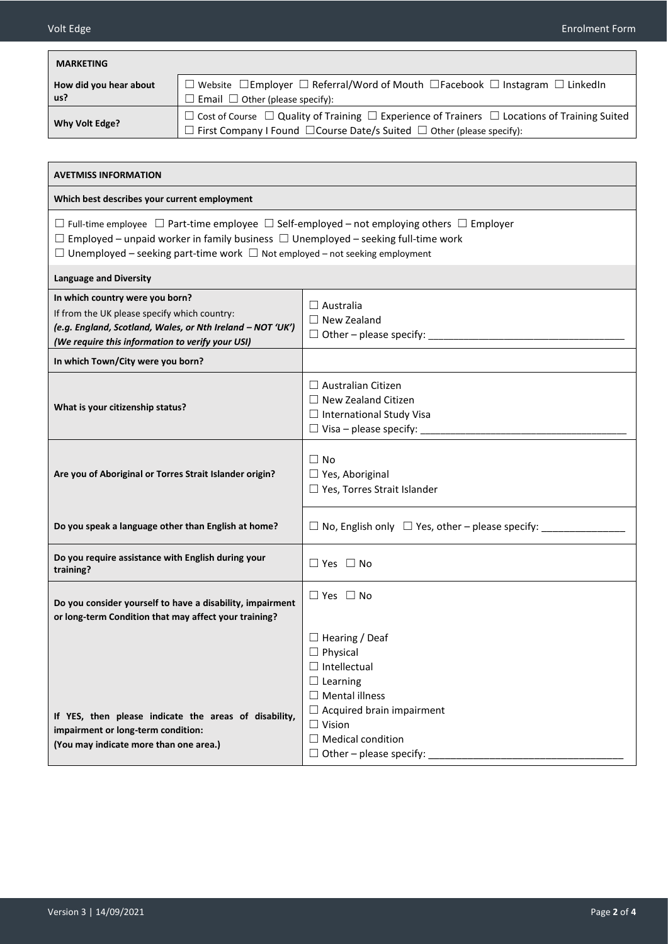| <b>MARKETING</b>                                                                                                                                                                                                                                                                                            |                                                                                                                                                                                                               |  |  |  |  |  |
|-------------------------------------------------------------------------------------------------------------------------------------------------------------------------------------------------------------------------------------------------------------------------------------------------------------|---------------------------------------------------------------------------------------------------------------------------------------------------------------------------------------------------------------|--|--|--|--|--|
| How did you hear about<br>us?                                                                                                                                                                                                                                                                               | $\Box$ Website $\Box$ Employer $\Box$ Referral/Word of Mouth $\Box$ Facebook $\Box$ Instagram $\Box$ LinkedIn<br>$\Box$ Email $\Box$ Other (please specify):                                                  |  |  |  |  |  |
| <b>Why Volt Edge?</b>                                                                                                                                                                                                                                                                                       | $\Box$ Cost of Course $\Box$ Quality of Training $\Box$ Experience of Trainers $\Box$ Locations of Training Suited<br>$\Box$ First Company I Found $\Box$ Course Date/s Suited $\Box$ Other (please specify): |  |  |  |  |  |
|                                                                                                                                                                                                                                                                                                             |                                                                                                                                                                                                               |  |  |  |  |  |
| <b>AVETMISS INFORMATION</b>                                                                                                                                                                                                                                                                                 |                                                                                                                                                                                                               |  |  |  |  |  |
| Which best describes your current employment                                                                                                                                                                                                                                                                |                                                                                                                                                                                                               |  |  |  |  |  |
| $\Box$ Full-time employee $\Box$ Part-time employee $\Box$ Self-employed – not employing others $\Box$ Employer<br>$\Box$ Employed – unpaid worker in family business $\Box$ Unemployed – seeking full-time work<br>$\Box$ Unemployed – seeking part-time work $\Box$ Not employed – not seeking employment |                                                                                                                                                                                                               |  |  |  |  |  |
| <b>Language and Diversity</b>                                                                                                                                                                                                                                                                               |                                                                                                                                                                                                               |  |  |  |  |  |
| In which country were you born?<br>If from the UK please specify which country:<br>(e.g. England, Scotland, Wales, or Nth Ireland - NOT 'UK')<br>(We require this information to verify your USI)                                                                                                           | $\Box$ Australia<br>$\Box$ New Zealand<br>$\Box$ Other – please specify:                                                                                                                                      |  |  |  |  |  |
| In which Town/City were you born?                                                                                                                                                                                                                                                                           |                                                                                                                                                                                                               |  |  |  |  |  |
| What is your citizenship status?                                                                                                                                                                                                                                                                            | $\Box$ Australian Citizen<br>$\Box$ New Zealand Citizen<br>$\Box$ International Study Visa<br>$\Box$ Visa – please specify:                                                                                   |  |  |  |  |  |
| Are you of Aboriginal or Torres Strait Islander origin?                                                                                                                                                                                                                                                     | $\Box$ No<br>$\Box$ Yes, Aboriginal<br>$\Box$ Yes, Torres Strait Islander                                                                                                                                     |  |  |  |  |  |
| Do you speak a language other than English at home?                                                                                                                                                                                                                                                         | $\Box$ No, English only $\Box$ Yes, other – please specify:                                                                                                                                                   |  |  |  |  |  |
| Do you require assistance with English during your<br>training?                                                                                                                                                                                                                                             | $\Box$ Yes $\Box$ No                                                                                                                                                                                          |  |  |  |  |  |
| Do you consider yourself to have a disability, impairment<br>or long-term Condition that may affect your training?                                                                                                                                                                                          | $\Box$ Yes $\Box$ No                                                                                                                                                                                          |  |  |  |  |  |
| If YES, then please indicate the areas of disability,<br>impairment or long-term condition:                                                                                                                                                                                                                 | $\Box$ Hearing / Deaf<br>$\Box$ Physical<br>$\Box$ Intellectual<br>$\Box$ Learning<br>$\Box$ Mental illness<br>$\Box$ Acquired brain impairment<br>$\Box$ Vision<br>$\Box$ Medical condition                  |  |  |  |  |  |
| (You may indicate more than one area.)                                                                                                                                                                                                                                                                      | $\Box$ Other – please specify:                                                                                                                                                                                |  |  |  |  |  |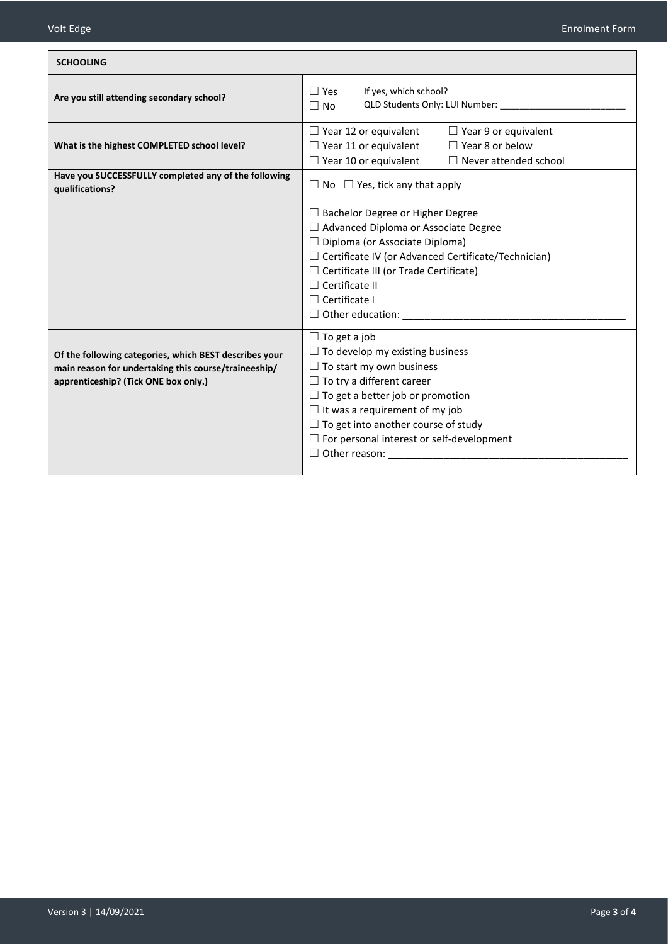| <b>SCHOOLING</b>                                                                                                                                       |                                                                                                                                                                                                                                                                                                                                                    |  |  |  |
|--------------------------------------------------------------------------------------------------------------------------------------------------------|----------------------------------------------------------------------------------------------------------------------------------------------------------------------------------------------------------------------------------------------------------------------------------------------------------------------------------------------------|--|--|--|
| Are you still attending secondary school?                                                                                                              | $\Box$ Yes<br>If yes, which school?<br>QLD Students Only: LUI Number:<br>$\Box$ No                                                                                                                                                                                                                                                                 |  |  |  |
| What is the highest COMPLETED school level?                                                                                                            | $\Box$ Year 12 or equivalent<br>$\Box$ Year 9 or equivalent<br>$\Box$ Year 8 or below<br>$\Box$ Year 11 or equivalent<br>$\Box$ Year 10 or equivalent<br>Never attended school                                                                                                                                                                     |  |  |  |
| Have you SUCCESSFULLY completed any of the following<br>qualifications?                                                                                | $\Box$ No $\Box$ Yes, tick any that apply                                                                                                                                                                                                                                                                                                          |  |  |  |
|                                                                                                                                                        | $\Box$ Bachelor Degree or Higher Degree<br>$\Box$ Advanced Diploma or Associate Degree<br>$\Box$ Diploma (or Associate Diploma)<br>□ Certificate IV (or Advanced Certificate/Technician)<br>$\Box$ Certificate III (or Trade Certificate)<br>$\Box$ Certificate II<br>$\Box$ Certificate I<br>$\Box$ Other education:                              |  |  |  |
| Of the following categories, which BEST describes your<br>main reason for undertaking this course/traineeship/<br>apprenticeship? (Tick ONE box only.) | $\Box$ To get a job<br>$\Box$ To develop my existing business<br>$\Box$ To start my own business<br>$\Box$ To try a different career<br>$\Box$ To get a better job or promotion<br>$\Box$ It was a requirement of my job<br>$\Box$ To get into another course of study<br>$\Box$ For personal interest or self-development<br>$\Box$ Other reason: |  |  |  |